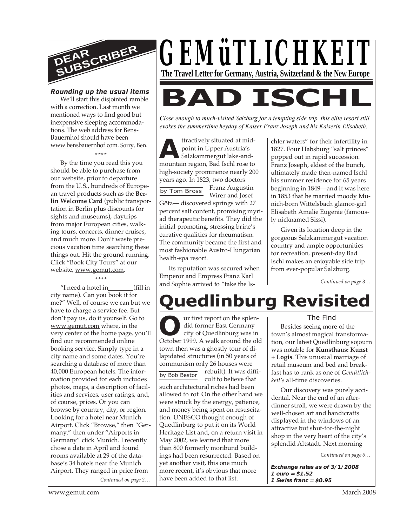

#### *Rounding up the usual items*

We'll start this disjointed ramble with a correction. Last month we mentioned ways to find good but inexpensive sleeping accommodations. The web address for Bens-Bauernhof should have been www.bensbauernhof.com. Sorry, Ben.

**\*\*\*\***

By the time you read this you should be able to purchase from our website, prior to departure from the U.S., hundreds of European travel products such as the **Berlin Welcome Card** (public transportation in Berlin plus discounts for sights and museums), daytrips from major European cities, walking tours, concerts, dinner cruises, and much more. Don't waste precious vacation time searching these things out. Hit the ground running. Click "Book City Tours" at our website, www.gemut.com.

#### **\*\*\*\***

"I need a hotel in\_\_\_\_\_\_\_\_(fill in city name). Can you book it for me?" Well, of course we can but we have to charge a service fee. But don't pay us, do it yourself. Go to www.gemut.com where, in the very center of the home page, you'll find our recommended online booking service. Simply type in a city name and some dates. You're searching a database of more than 40,000 European hotels. The information provided for each includes photos, maps, a description of facilities and services, user ratings, and, of course, prices. Or you can browse by country, city, or region. Looking for a hotel near Munich Airport. Click "Browse," then "Germany," then under "Airports in Germany" click Munich. I recently chose a date in April and found rooms available at 29 of the database's 34 hotels near the Munich Airport. They ranged in price from

*Continued on page 2…*



*Close enough to much-visited Salzburg for a tempting side trip, this elite resort still evokes the summertime heyday of Kaiser Franz Joseph and his Kaiserin Elisabeth.*

**A**<br>
mountain region, Bad Ischl rose to<br>
mountain region, Bad Ischl rose to ttractively situated at midpoint in Upper Austria's Salzkammergut lake-andhigh-society prominence nearly 200 years ago. In 1823, two doctors—

by Tom Bross Franz Augustin Wirer and Josef Götz— discovered springs with 27 percent salt content, promising myriad therapeutic benefits. They did the initial promoting, stressing brine's curative qualities for rheumatism. The community became the first and most fashionable Austro-Hungarian health-spa resort.

Its reputation was secured when Emperor and Empress Franz Karl and Sophie arrived to "take the Ischler waters" for their infertility in 1827. Four Habsburg "salt princes" popped out in rapid succession. Franz Joseph, eldest of the bunch, ultimately made then-named Ischl his summer residence for 65 years beginning in 1849—and it was here in 1853 that he married moody Munich-born Wittelsbach glamor-girl Elisabeth Amalie Eugenie (famously nicknamed Sissi).

Given its location deep in the gorgeous Salzkammergut vacation country and ample opportunities for recreation, present-day Bad Ischl makes an enjoyable side trip from ever-popular Salzburg.

*Continued on page 3…*

# **Quedlinburg Revisited**

UP are first report on the splen-<br>
did former East Germany<br>
city of Quedlinburg was in<br>
October 1999. A walk around the old by Bob Bestor ur first report on the splendid former East Germany city of Quedlinburg was in town then was a ghostly tour of dilapidated structures (in 50 years of communism only 26 houses were rebuilt). It was difficult to believe that such architectural riches had been allowed to rot. On the other hand we were struck by the energy, patience, and money being spent on resuscitation. UNESCO thought enough of Quedlinburg to put it on its World Heritage List and, on a return visit in May 2002, we learned that more than 800 formerly moribund buildings had been resurrected. Based on yet another visit, this one much more recent, it's obvious that more have been added to that list.

#### The Find

Besides seeing more of the town's almost magical transformation, our latest Quedlinburg sojourn was notable for **Kunsthaus: Kunst + Logis**. This unusual marriage of retail museum and bed and breakfast has to rank as one of *Gemütlichkeit's* all-time discoveries.

Our discovery was purely accidental. Near the end of an afterdinner stroll, we were drawn by the well-chosen art and handicrafts displayed in the windows of an attractive but shut-for-the-night shop in the very heart of the city's splendid Altstadt. Next morning

*Continued on page 6…*

**Exchange rates as of 3/1/2008 1 euro = \$1.52 1 Swiss franc = \$0.95**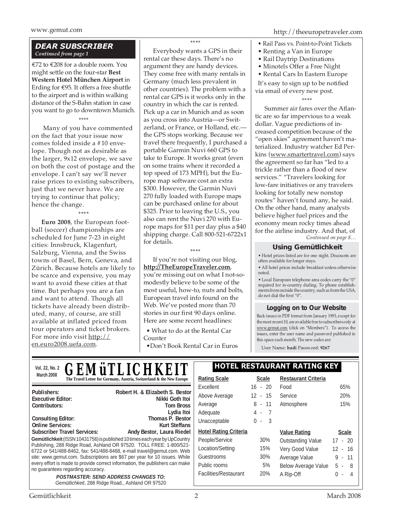#### *DEAR SUBSCRIBER Continued from page 1*

€72 to €208 for a double room. You might settle on the four-star **Best Western Hotel München Airport** in Erding for €95. It offers a free shuttle to the airport and is within walking distance of the S-Bahn station in case you want to go to downtown Munich.

\*\*\*\* Many of you have commented on the fact that your issue now comes folded inside a #10 envelope. Though not as desirable as the larger, 9x12 envelope, we save on both the cost of postage and the envelope. I can't say we'll never raise prices to existing subscribers, just that we never have. We are trying to continue that policy; hence the change.

\*\*\*\*

**Euro 2008**, the European football (soccer) championships are scheduled for June 7-23 in eight cities: Innsbruck, Klagenfurt, Salzburg, Vienna, and the Swiss towns of Basel, Bern, Geneva, and Zürich. Because hotels are likely to be scarce and expensive, you may want to avoid these cities at that time. But perhaps you are a fan and want to attend. Though all tickets have already been distributed, many, of course, are still available at inflated priced from tour operators and ticket brokers. For more info visit http:// en.euro2008.uefa.com.

\*\*\*\*

Everybody wants a GPS in their rental car these days. There's no argument they are handy devices. They come free with many rentals in Germany (much less prevalent in other countries). The problem with a rental car GPS is it works only in the country in which the car is rented. Pick up a car in Munich and as soon as you cross into Austria—or Switzerland, or France, or Holland, etc. the GPS stops working. Because we travel there frequently, I purchased a portable Garmin Nuvi 660 GPS to take to Europe. It works great (even on some trains where it recorded a top speed of 173 MPH), but the Europe map software cost an extra \$300. However, the Garmin Nuvi 270 fully loaded with Europe maps can be purchased online for about \$325. Prior to leaving the U.S., you also can rent the Nuvi 270 with Europe maps for \$11 per day plus a \$40 shipping charge. Call 800-521-6722x1 for details.

\*\*\*\*

If you're not visiting our blog, **http://TheEuropeTraveler.com**, you're missing out on what I not-somodestly believe to be some of the most useful, how-to, nuts and bolts, European travel info found on the Web. We've posted more than 70 stories in our first 90 days online. Here are some recent headlines:

• What to do at the Rental Car Counter

•Don't Book Rental Car in Euros

- Rail Pass vs. Point-to-Point Tickets
- Renting a Van in Europe
- Rail Daytrip Destinations
- Minotels Offer a Free Night

• Rental Cars In Eastern Europe It's easy to sign up to be notified via email of every new post.

#### \*\*\*\*

*Continued on page 8…* Summer air fares over the Atlantic are so far impervious to a weak dollar. Vague predictions of increased competition because of the "open skies" agreement haven't materialized. Industry watcher Ed Perkins (www.smartertravel.com) says the agreement so far has "led to a trickle rather than a flood of new services." "Travelers looking for low-fare initiatives or any travelers looking for totally new nonstop routes" haven't found any, he said. On the other hand, many analysts believe higher fuel prices and the economy mean rocky times ahead for the airline industry. And that, of

#### **Using Gemütlichkeit**

• Hotel prices listed are for one night. Discounts are often available for longer stays.

• All hotel prices include breakfast unless otherwise noted.

• Local European telephone area codes carry the "0" required for in-country dialing. To phone establishments from outside the country, such as from the USA, do not dial the first "0".

#### **Logging on to Our Website**

Back issues in PDF format from January 1993, except for the most recent 10, are available free to subscribers only at www.gemut.com (click on "Members"). To access the issues, enter the user name and password published in this space each month. The new codes are:

User Name: **badi** Password: **9267**

| <i><b>GEMÜTLICHKEIT</b></i><br>Vol. 22, No. 2                                                                                                                                                                             | <b>HOTEL RESTAURANT RATING KEY</b> |              |                            |                  |
|---------------------------------------------------------------------------------------------------------------------------------------------------------------------------------------------------------------------------|------------------------------------|--------------|----------------------------|------------------|
| March 2008<br>The Travel Letter for Germany, Austria, Switzerland & the New Europe                                                                                                                                        | <b>Rating Scale</b>                | <b>Scale</b> | <b>Restaurant Criteria</b> |                  |
|                                                                                                                                                                                                                           | Excellent                          | $16 - 20$    | Food                       | 65%              |
| Publishers:<br>Robert H. & Elizabeth S. Bestor<br>Nikki Goth Itoi<br><b>Executive Editor:</b>                                                                                                                             | Above Average                      | $12 - 15$    | Service                    | 20%              |
| Contributors:<br><b>Tom Bross</b>                                                                                                                                                                                         | Average                            | $8 - 11$     | Atmosphere                 | 15%              |
| Lydia Itoi                                                                                                                                                                                                                | Adequate                           | $4 - 7$      |                            |                  |
| Thomas P. Bestor<br><b>Consulting Editor:</b><br><b>Online Services:</b><br>Kurt Steffans                                                                                                                                 | Unacceptable                       | $0 - 3$      |                            |                  |
| Andy Bestor, Laura Riedel<br><b>Subscriber Travel Services:</b>                                                                                                                                                           | <b>Hotel Rating Criteria</b>       |              | <b>Value Rating</b>        | <b>Scale</b>     |
| Gemütlichkeit (ISSN 10431756) is published 10 times each year by UpCountry                                                                                                                                                | People/Service                     | 30%          | <b>Outstanding Value</b>   | $17 - 20$        |
| Publishing, 288 Ridge Road, Ashland OR 97520. TOLL FREE: 1-800/521-<br>6722 or 541/488-8462, fax: 541/488-8468, e-mail travel@gemut.com. Web<br>site: www.gemut.com. Subscriptions are \$67 per year for 10 issues. While | Location/Setting                   | 15%          | Very Good Value            | $12 - 16$        |
|                                                                                                                                                                                                                           | Guestrooms                         | 30%          | Average Value              | $9 - 11$         |
| every effort is made to provide correct information, the publishers can make                                                                                                                                              | Public rooms                       | 5%           | <b>Below Average Value</b> | $5 - 8$          |
| no guarantees regarding accuracy.<br><b>POSTMASTER: SEND ADDRESS CHANGES TO:</b><br>Gemütlichkeit, 288 Ridge Road., Ashland OR 97520                                                                                      | Facilities/Restaurant              | 20%          | A Rip-Off                  | $\Omega$<br>$-4$ |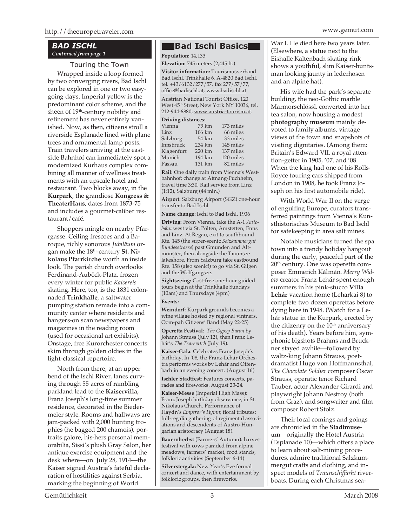#### *BAD ISCHL Continued from page 1*

#### Touring the Town

Wrapped inside a loop formed by two converging rivers, Bad Ischl can be explored in one or two easygoing days. Imperial yellow is the predominant color scheme, and the sheen of 19<sup>th</sup>-century nobility and refinement has never entirely vanished. Now, as then, citizens stroll a riverside Esplanade lined with plane trees and ornamental lamp posts. Train travelers arriving at the eastside Bahnhof can immediately spot a modernized Kurhaus complex combining all manner of wellness treatments with an upscale hotel and restaurant. Two blocks away, in the **Kurpark**, the grandiose **Kongress & TheaterHaus**, dates from 1873-75 and includes a gourmet-caliber restaurant/café.

Shoppers mingle on nearby Pfarrgasse. Ceiling frescoes and a Baroque, richly sonorous *Jubiläum* organ make the 18<sup>th</sup>-century St. Ni**kolaus Pfarrkirche** worth an inside look. The parish church overlooks Ferdinand-Auböck-Platz, frozen every winter for public *Kaisereis* skating. Here, too, is the 1831 colonnaded **Trinkhalle**, a saltwater pumping station remade into a community center where residents and hangers-on scan newspapers and magazines in the reading room (used for occasional art exhibits). Onstage, free Kurorchester concerts skim through golden oldies in the light-classical repertoire.

North from there, at an upper bend of the Ischl River, lanes curving through 55 acres of rambling parkland lead to the **Kaiservilla**, Franz Joseph's long-time summer residence, decorated in the Biedermeier style. Rooms and hallways are jam-packed with 2,000 hunting trophies (he bagged 200 chamois), portraits galore, his-hers personal memorabilia, Sissi's plush Gray Salon, her antique exercise equipment and the desk where—on July 28, 1914—the Kaiser signed Austria's fateful declaration of hostilities against Serbia, marking the beginning of World

#### **Bad Ischl Basics**

**Population:** 14,133 **Elevation:** 745 meters (2,445 ft.)

**Visitor information:** Tourismusverband Bad Ischl, Trinkhalle 6, A-4820 Bad Ischl, tel. +43/6132/277/57, fax 277/57/77, office@badischl.at, www.badischl.at.

Austrian National Tourist Office, 120 West  $45<sup>th</sup> Street, New York NY 10036, tel.$ 212-944-6880, www.austria-tourism.at.

#### **Driving distances:**

| Vienna     | 79 km  | 173 miles |
|------------|--------|-----------|
| Linz.      | 106 km | 66 miles  |
| Salzburg   | 54 km  | 33 miles  |
| Innsbruck  | 234 km | 145 miles |
| Klagenfurt | 220 km | 137 miles |
| Munich     | 194 km | 120 miles |
| Passau     | 131 km | 82 miles  |

**Rail:** One daily train from Vienna's Westbahnhof; change at Attnang-Puchheim, travel time 3:30. Rail service from Linz (1:12), Salzburg (44 min.)

**Airport:** Salzburg Airport (SGZ) one-hour transfer to Bad Ischl

**Name change:** Ischl to Bad Ischl, 1906

**Driving:** From Vienna, take the A-1 *Autobahn* west via St. Pölten, Amstetten, Enns and Linz. At Regau, exit to southbound Rte. 145 (the super-scenic *Salzkammergut Bundesstrasse*) past Gmunden and Altmünster, then alongside the Traunsee lakeshore. From Salzburg take eastbound Rte. 158 (also scenic!) to go via St. Gilgen and the Wolfgangsee.

**Sightseeing:** Cost-free one-hour guided tours begin at the Trinkhalle Sundays (10am) and Thursdays (4pm)

#### **Events:**

**Weindorf**: Kurpark grounds becomes a wine village hosted by regional vintners. Oom-pah Citizens' Band (May 22-25)

**Operetta Festival**: *The Gypsy Baron* by Johann Strauss (July 12), then Franz Lehár's *The Tsarevitch* (July 19).

**Kaiser-Gala**: Celebrates Franz Joseph's birthday. In '08, the Franz-Lehár Orchestra performs works by Lehár and Offenbach in an evening concert. (August 16)

**Ischler Stadtfest**: Features concerts, parades and fireworks. August 23-24.

**Kaiser-Messe** (Imperial High Mass): Franz Joseph birthday observance, in St. Nikolaus Church. Performance of Haydn's *Emperor's Hymn*; floral tributes; full-regalia gathering of regimental associations and descendents of Austro-Hungarian aristocracy (August 18).

**Bauernherbst** (Farmers' Autumn): harvest festival with cows paraded from alpine meadows, farmers' market, food stands, folkloric activities (September 6-14)

**Silverstergala:** New Year's Eve formal concert and dance, with entertainment by folkloric groups, then fireworks.

War I. He died here two years later. (Elsewhere, a statue next to the Eishalle Kaltenbach skating rink shows a youthful, slim Kaiser-huntsman looking jaunty in lederhosen and an alpine hat).

His wife had the park's separate building, the neo-Gothic marble Marmorschlössl, converted into her tea salon, now housing a modest **photography museum** mainly devoted to family albums, vintage views of the town and snapshots of visiting dignitaries. (Among them: Britain's Edward VII, a royal attention-getter in 1905, '07, and '08. When the king had one of his Rolls-Royce touring cars shipped from London in 1908, he took Franz Joseph on his first automobile ride).

With World War II on the verge of engulfing Europe, curators transferred paintings from Vienna's Kunsthistorisches Museum to Bad Ischl for safekeeping in area salt mines.

Notable musicians turned the spa town into a trendy holiday hangout during the early, peaceful part of the  $20<sup>th</sup>$  century. One was operetta composer Emmerich Kálmán. *Merry Widow* creator Franz Lehár spent enough summers in his pink-stucco **Villa Lehár** vacation home (Leharkai 8) to complete two dozen operettas before dying here in 1948. (Watch for a Lehár statue in the Kurpark, erected by the citizenry on the 10<sup>th</sup> anniversary of his death). Years before him, symphonic bigshots Brahms and Bruckner stayed awhile—followed by waltz-king Johann Strauss, poetdramatist Hugo von Hoffmannsthal, *The Chocolate Soldier* composer Oscar Strauss, operatic tenor Richard Tauber, actor Alexander Girardi and playwright Johann Nestroy (both from Graz), and songwriter and film composer Robert Stolz.

Their local comings and goings are chronicled in the **Stadtmuseum**—originally the Hotel Austria (Esplanade 10)—which offers a place to learn about salt-mining procedures, admire traditional Salzkummergut crafts and clothing, and inspect models of *Traunschiffarht* riverboats. During each Christmas sea-

Gemütlichkeit 3 March 2008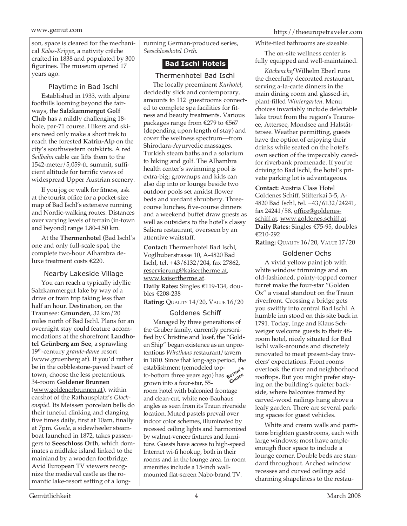www.gemut.com http://theeuropetraveler.com

son, space is cleared for the mechanical *Kalss-Krippe*, a nativity crêche crafted in 1838 and populated by 300 figurines. The museum opened 17 years ago.

Playtime in Bad Ischl

Established in 1933, with alpine foothills looming beyond the fairways, the **Salzkammergut Golf Club** has a mildly challenging 18 hole, par-71 course. Hikers and skiers need only make a short trek to reach the forested **Katrin-Alp** on the city's southwestern outskirts. A red *Seilbahn* cable car lifts them to the 1542-meter/5,059-ft. summit, sufficient altitude for terrific views of widespread Upper Austrian scenery.

If you jog or walk for fitness, ask at the tourist office for a pocket-size map of Bad Ischl's extensive running and Nordic-walking routes. Distances over varying levels of terrain (in-town and beyond) range 1.80-4.50 km.

At the **Thermenhotel** (Bad Ischl's one and only full-scale spa), the complete two-hour Alhambra deluxe treatment costs €220.

Nearby Lakeside Village You can reach a typically idyllic Salzkammergut lake by way of a drive or train trip taking less than half an hour. Destination, on the Traunsee: **Gmunden**, 32 km/20 miles north of Bad Ischl. Plans for an overnight stay could feature accommodations at the shorefront **Landhotel Grünberg am See**, a sprawling 19th-century *grande-dame* resort (www.gruenberg.at). If you'd rather be in the cobblestone-paved heart of town, choose the less pretentious, 34-room **Goldener Brunnen** (www.goldenerbrunnen.at), within earshot of the Rathausplatz's *Glockenspiel*. Its Meissen porcelain bells do their tuneful clinking and clanging five times daily, first at 10am, finally at 7pm. *Gisela*, a sidewheeler steamboat launched in 1872, takes passengers to **Seeschloss Orth**, which dominates a midlake island linked to the mainland by a wooden footbridge. Avid European TV viewers recognize the medieval castle as the romantic lake-resort setting of a longrunning German-produced series, *Seeschlosshotel Orth*.

### **Bad Ischl Hotels**

Thermenhotel Bad Ischl The locally preeminent *Kurhotel*, decidedly slick and contemporary, amounts to 112 guestrooms connected to complete spa facilities for fitness and beauty treatments. Various packages range from €279 to €567 (depending upon length of stay) and cover the wellness spectrum—from Shirodara-Ayurvedic massages, Turkish steam baths and a solarium to hiking and golf. The Alhambra health center's swimming pool is extra-big; grownups and kids can also dip into or lounge beside two outdoor pools set amidst flower beds and verdant shrubbery. Threecourse lunches, five-course dinners and a weekend buffet draw guests as well as outsiders to the hotel's classy Saliera restaurant, overseen by an attentive waitstaff.

**Contact:** Thermenhotel Bad Ischl, Voglhuberstrasse 10, A-4820 Bad Ischl, tel. +43/6132/204, fax 27862, reservierung@kaisertherme.at, www.kaisertherme.at. **Daily Rates:** Singles €119-134, doubles €208-238

**Rating: QUALITY 14/20, VALUE 16/20** 

#### Goldenes Schiff

Managed by three generations of the Gruber family, currently personified by Christine and Josef, the "Golden Ship" began existence as an unpretentious *Wirsthaus* restaurant/tavern in 1810. Since that long-ago period, the establishment (remodeled top-EXEMPLE TO THE VEHICLE TO THE EXECUTION OF **CHOICE**<br> **EXECUTE TO THE CHOICE**<br> **CHOICE** grown into a four-star, 55 room hotel with balconied frontage and clean-cut, white neo-Bauhaus angles as seen from its Traun riverside location. Muted pastels prevail over indoor color schemes, illuminated by recessed ceiling lights and harmonized by walnut-veneer fixtures and furniture. Guests have access to high-speed Internet wi-fi hookup, both in their rooms and in the lounge area. In-room amenities include a 15-inch wallmounted flat-screen Nabo-brand TV.

White-tiled bathrooms are sizeable.

The on-site wellness center is fully equipped and well-maintained.

*Küchenchef* Wilhelm Eberl runs the cheerfully decorated restaurant, serving a-la-carte dinners in the main dining room and glassed-in, plant-filled *Wintergarten*. Menu choices invariably include delectable lake trout from the region's Traunsee, Attersee, Mondsee and Halstättersee. Weather permitting, guests have the option of enjoying their drinks while seated on the hotel's own section of the impeccably caredfor riverbank promenade. If you're driving to Bad Ischl, the hotel's private parking lot is advantageous.

**Contact:** Austria Class Hotel Goldenes Schiff, Stifterkai 3-5, A-4820 Bad Ischl, tel. +43/6132/24241, fax 24241/58, office@goldenesschiff.at, www.goldenes.schiff.at. **Daily Rates:** Singles €75-95, doubles €210-292

**Rating:** QUALITY 16/20, VALUE 17/20

#### Goldener Ochs

A vivid yellow paint job with white window trimmings and an old-fashioned, pointy-topped corner turret make the four-star "Golden Ox" a visual standout on the Traun riverfront. Crossing a bridge gets you swiftly into central Bad Ischl. A humble inn stood on this site back in 1791. Today, Inge and Klaus Schweiger welcome guests to their 48 room hotel, nicely situated for Bad Ischl walk-arounds and discretely renovated to meet present-day travelers' expectations. Front rooms overlook the river and neighborhood rooftops. But you might prefer staying on the building's quieter backside, where balconies framed by carved-wood railings hang above a leafy garden. There are several parking spaces for guest vehicles.

White and cream walls and partitions brighten guestrooms, each with large windows; most have ampleenough floor space to include a lounge corner. Double beds are standard throughout. Arched window recesses and curved ceilings add charming shapeliness to the restau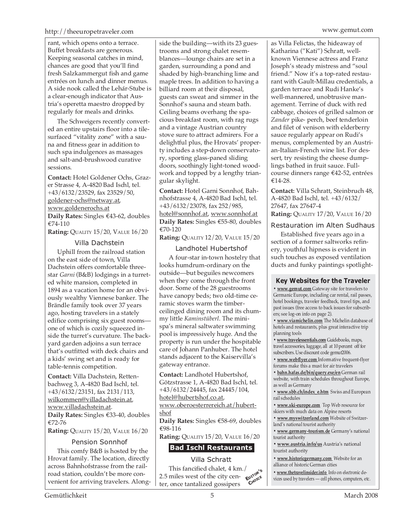rant, which opens onto a terrace. Buffet breakfasts are generous. Keeping seasonal catches in mind, chances are good that you'll find fresh Salzkammergut fish and game entrées on lunch and dinner menus. A side nook called the Lehár-Stube is a clear-enough indicator that Austria's operetta maestro dropped by regularly for meals and drinks.

The Schweigers recently converted an entire upstairs floor into a tilesurfaced "vitality zone" with a sauna and fitness gear in addition to such spa indulgences as massages and salt-and-brushwood curative sessions.

**Contact:** Hotel Goldener Ochs, Grazer Strasse 4, A-4820 Bad Ischl, tel. +43/6132/23529, fax 23529/50, goldener-ochs@netway.at, www.goldenerochs.at **Daily Rates:** Singles €43-62, doubles

€74-110

**Rating: QUALITY 15/20, VALUE 16/20** 

#### Villa Dachstein

Uphill from the railroad station on the east side of town, Villa Dachstein offers comfortable threestar *Garni* (B&B) lodgings in a turreted white mansion, completed in 1894 as a vacation home for an obviously wealthy Viennese banker. The Brändle family took over 37 years ago, hosting travelers in a stately edifice comprising six guest rooms one of which is cozily squeezed inside the turret's curvature. The backyard garden adjoins a sun terrace that's outfitted with deck chairs and a kids' swing set and is ready for table-tennis competition.

**Contact:** Villa Dachstein, Rettenbachweg 3, A-4820 Bad Ischl, tel. +43/6132/23151, fax 2131/113, wilkommen@villadachstein.at, www.villadachstein.at. **Daily Rates:** Singles €33-40, doubles €72-76

**Rating:** QUALITY 15/20, VALUE 16/20

#### Pension Sonnhof

This comfy B&B is hosted by the Hrovat family. The location, directly across Bahnhofstrasse from the railroad station, couldn't be more convenient for arriving travelers. Along-

side the building—with its 23 guestrooms and strong chalet resemblances—lounge chairs are set in a garden, surrounding a pond and shaded by high-branching lime and maple trees. In addition to having a billiard room at their disposal, guests can sweat and simmer in the Sonnhof's sauna and steam bath. Ceiling beams overhang the spacious breakfast room, with rag rugs and a vintage Austrian country stove sure to attract admirers. For a delightful plus, the Hrovats' property includes a step-down conservatory, sporting glass-paned sliding doors, soothingly light-toned woodwork and topped by a lengthy triangular skylight.

**Contact:** Hotel Garni Sonnhof, Bahnhofstrasse 4, A-4820 Bad Ischl, tel. +43/6132/23078, fax 252/985, hotel@sonnhof.at, www.sonnhof.at **Daily Rates:** Singles €55-80, doubles €70-120

**Rating:** QUALITY 12/20, VALUE 15/20

#### Landhotel Hubertshof

A four-star in-town hostelry that looks humdrum-ordinary on the outside—but beguiles newcomers when they come through the front door. Some of the 28 guestrooms have canopy beds; two old-time ceramic stoves warm the timberceilinged dining room and its chummy little *Kaminstüberl*. The minispa's mineral saltwater swimming pool is impressively huge. And the property is run under the hospitable care of Johann Panhuber. The hotel stands adjacent to the Kaiservilla's gateway entrance.

**Contact:** Landhotel Hubertshof, Götzstrasse 1, A-4820 Bad Ischl, tel. +43/6132/24445, fax 24445/104, hotel@hubertshof.co.at,

www.oberoesterrereich.at/hubertshof

**Daily Rates:** Singles €58-69, doubles €98-116

**Rating: QUALITY 15/20, VALUE 16/20** 

#### **Bad Ischl Restaurants**

Villa Schratt

This fancified chalet, 4 km./ 2.5 miles west of the city center, once tantalized gossipers **EDITOR'<sup>S</sup> CHOICE**

as Villa Felictas, the hideaway of

Katharina ("Kati") Schratt, wellknown Viennese actress and Franz Joseph's steady mistress and "soul friend." Now it's a top-rated restaurant with Gault-Millau credentials, a garden terrace and Rudi Hanke's well-mannered, unobtrusive management. Terrine of duck with red cabbage, choices of grilled salmon or *Zander* pike- perch, beef tenderloin and filet of venison with elderberry sauce regularly appear on Rudi's menus, complemented by an Austrian-Italian-French wine list. For dessert, try resisting the cheese dumplings bathed in fruit sauce. Fullcourse dinners range €42-52, entrées €14-28.

**Contact:** Villa Schratt, Steinbruch 48, A-4820 Bad Ischl, tel. +43/6132/ 27647, fax 27647-4 **Rating:** QUALITY 17/20, VALUE 16/20

#### Restauration im Alten Sudhaus

Established five years ago in a section of a former saltworks refinery, youthful hipness is evident in such touches as exposed ventilation ducts and funky paintings spotlight-

#### **Key Websites for the Traveler**

**• www.gemut.com** Gateway site for travelers to Germanic Europe, including car rental, rail passes, hotel bookings, traveler feedback, travel tips, and past issues (free access to back issues for subscribers; see log-on info on page 2).

**• www.viamichelin.com** The Michelin database of hotels and restaurants, plus great interactive trip planning tools

**• www.travelessentials.com** Guidebooks, maps, travel accessories, luggage, all at 10 percent off for subscribers. Use discount code gemut2006.

**• www.webflyer.com** Informative frequent-flyer forums make this a must for air travelers

**• bahn.hafas.de/bin/query.exe/en** German rail website, with train schedules throughout Europe, as well as Germany

**• www.sbb.ch/index\_e.htm** Swiss and European rail schedules

**• www.ski-europe.com** Top Web resource for skiers with much data on Alpine resorts

**• www.myswitzerland.com** Website of Switzerland's national tourist authority

**• www.germany-tourism.de** Germany's national tourist authority

**• www.austria.info/us** Austria's national tourist authority

**• www.historicgermany.com** Website for an alliance of historic German cities

**• www.thetravelinsider.info** Info on electronic devices used by travelers — cell phones, computers, etc.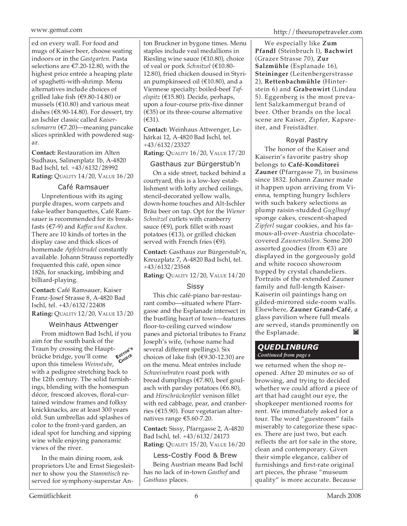ed on every wall. For food and mugs of Kaiser beer, choose seating indoors or in the *Gastgarten*. Pasta selections are €7.20-12.80, with the highest price entrée a heaping plate of spaghetti-with-shrimp. Menu alternatives include choices of grilled lake fish (€9.80-14.80) or mussels ( $\text{\textsterling}10.80$ ) and various meat dishes ( $\epsilon$ 8.90-14.80). For dessert, try an Ischler classic called *Kaiserschmarrn* (€7.20)—meaning pancake slices sprinkled with powdered sugar.

**Contact:** Restauration im Alten Sudhaus, Salinenplatz 1b, A-4820 Bad Ischl, tel. +43/6132/28992 **Rating:** QUALITY 14/20, VALUE 16/20

#### Café Ramsauer

Unpretentious with its aging purple drapes, worn carpets and fake-leather banquettes, Café Ramsauer is recommended for its breakfasts (€7-9) and *Kaffee und Kuchen*. There are 10 kinds of tortes in the display case and thick slices of homemade *Apfelstrudel* constantly available. Johann Strauss reportedly frequented this café, open since 1826, for snacking, imbibing and billiard-playing.

**Contact:** Café Ramsauer, Kaiser Franz-Josef Strasse 8, A-4820 Bad Ischl, tel. +43/6132/22408 **Rating:** QUALITY 12/20, VALUE 13/20

#### Weinhaus Attwenger

From midtown Bad Ischl, if you aim for the south bank of the Traun by crossing the Hauptbrücke bridge, you'll come upon this timeless *Weinstube*, with a pedigree stretching back to the 12th century. The solid furnishings, blending with the homespun décor, frescoed alcoves, floral-curtained window frames and folksy knickknacks, are at least 300 years old. Sun umbrellas add splashes of color to the front-yard garden, an ideal spot for lunching and sipping wine while enjoying panoramic views of the river. **EDITOR'<sup>S</sup> CHOICE**

In the main dining room, ask proprietors Ute and Ernst Siegesleitner to show you the *Stammtisch* reserved for symphony-superstar Anton Bruckner in bygone times. Menu staples include veal medallions in Riesling wine sauce (€10.80), choice of veal or pork *Schnitzel* (€10.80- 12.80), fried chicken doused in Styrian pumpkinseed oil (€10.80), and a Viennese specialty: boiled-beef *Tafelspitz* (€15.80). Decide, perhaps, upon a four-course prix-fixe dinner  $(\epsilon$ 35) or its three-course alternative (€31).

**Contact:** Weinhaus Attwenger, Lehárkai 12, A-4820 Bad Ischl, tel. +43/6132/23327

**Rating:** QUALITY 16/20, VALUE 17/20

#### Gasthaus zur Bürgerstub'n

On a side street, tucked behind a courtyard, this is a low-key establishment with lofty arched ceilings, stencil-decorated yellow walls, down-home touches and Alt-Ischler Bräu beer on tap. Opt for the *Wiener Schnitzel* cutlets with cranberry sauce (€9), pork fillet with roast potatoes (€13), or grilled chicken served with French fries ( $€9$ ).

**Contact:** Gasthaus zur Bürgerstub'n, Kreuzplatz 7, A-4820 Bad Ischl, tel. +43/6132/23568

**Rating:** QUALITY 12/20, VALUE 14/20

#### Sissy

This chic café-piano bar-restaurant combo—situated where Pfarrgasse and the Esplanade intersect in the bustling heart of town—features floor-to-ceiling curved window panes and pictorial tributes to Franz Joseph's wife, (whose name had several different spellings). Six choices of lake fish ( $€9.30-12.30$ ) are on the menu. Meat entrées include *Schweinebraten* roast pork with bread dumplings (€7.80), beef goulasch with parsley potatoes ( $€6.80$ ), and *Hirschrückenfilet* venison fillet with red cabbage, pear, and cranberries (€15.90). Four vegetarian alternatives range €5.60-7.20.

**Contact:** Sissy, Pfarrgasse 2, A-4820 Bad Ischl, tel. +43/6132/24173 **Rating:** QUALITY 15/20, VALUE 16/20

#### Less-Costly Food & Brew

Being Austrian means Bad Ischl has no lack of in-town *Gasthof* and *Gasthaus* places.

We especially like **Zum Pfandl** (Steinbruch l), **Bachwirt** (Grazer Strasse 70), **Zur Salzmühle** (Esplanade 16), **Steininger** (Leitenbergerstrasse 2), **Rettenbachmühle** (Hinterstein 6) and **Grabenwirt** (Lindau 5). Eggenberg is the most prevalent Salzkammergut brand of beer. Other brands on the local scene are Kaiser, Zipfer, Kapsreiter, and Freistädter.

#### Royal Pastry

The honor of the Kaiser and Kaiserin's favorite pastry shop belongs to **Café-Konditorei Zauner** (Pfarrgasse 7), in business since 1832. Johann Zauner made it happen upon arriving from Vienna, tempting hungry Ischlers with such bakery selections as plump raisin-studded *Guglhupf* sponge cakes, crescent-shaped *Zipferl* sugar cookies, and his famous-all-over-Austria chocolatecovered *Zaunerstollen*. Some 200 assorted goodies (from €3) are displayed in the gorgeously gold and white rococo showroom topped by crystal chandeliers. Portraits of the extended Zauner family and full-length Kaiser-Kaiserin oil paintings hang on gilded-mirrored side-room walls. Elsewhere, **Zauner Grand-Café**, a glass pavilion where full meals are served, stands prominently on the Esplanade. M

#### *QUEDLINBURG Continued from page s*

we returned when the shop reopened. After 20 minutes or so of browsing, and trying to decided whether we could afford a piece of art that had caught our eye, the shopkeeper mentioned rooms for rent. We immediately asked for a tour. The word "guestroom" fails miserably to categorize these spaces. There are just two, but each reflects the art for sale in the store, clean and contemporary. Given their simple elegance, caliber of furnishings and first-rate original art pieces, the phrase "museum quality" is more accurate. Because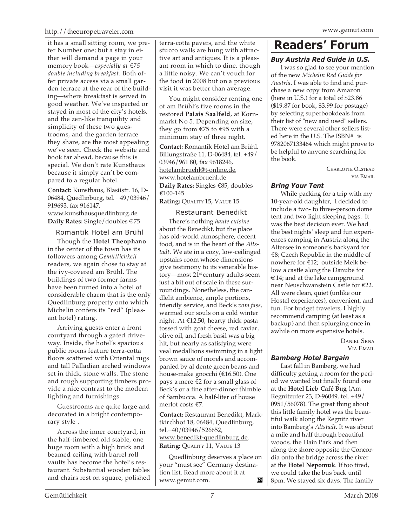#### http://theeuropetraveler.com www.gemut.com

it has a small sitting room, we prefer Number one; but a stay in either will demand a page in your memory book—*especially at* €*75 double including breakfast*. Both offer private access via a small garden terrace at the rear of the building—where breakfast is served in good weather. We've inspected or stayed in most of the city's hotels, and the zen-like tranquility and simplicity of these two guestrooms, and the garden terrace they share, are the most appealing we've seen. Check the website and book far ahead, because this is special. We don't rate Kunsthaus because it simply can't be compared to a regular hotel.

**Contact:** Kunsthaus, Blasiistr. 16, D-06484, Quedlinburg, tel. +49/03946/ 919693, fax 916147, www.kunsthausquedlinburg.de **Daily Rates:** Single/doubles €75

Romantik Hotel am Brühl

Though the **Hotel Theophano** in the center of the town has its followers among *Gemütlichkeit* readers, we again chose to stay at the ivy-covered am Brühl. The buildings of two former farms have been turned into a hotel of considerable charm that is the only Quedlinburg property onto which Michelin confers its "red" (pleasant hotel) rating.

Arriving guests enter a front courtyard through a gated driveway. Inside, the hotel's spacious public rooms feature terra-cotta floors scattered with Oriental rugs and tall Palladian arched windows set in thick, stone walls. The stone and rough supporting timbers provide a nice contrast to the modern lighting and furnishings.

Guestrooms are quite large and decorated in a bright contemporary style .

Across the inner courtyard, in the half-timbered old stable, one huge room with a high brick and beamed ceiling with barrel roll vaults has become the hotel's restaurant. Substantial wooden tables and chairs rest on square, polished terra-cotta pavers, and the white stucco walls are hung with attractive art and antiques. It is a pleasant room in which to dine, though a little noisy. We can't vouch for the food in 2008 but on a previous visit it was better than average.

You might consider renting one of am Brühl's five rooms in the restored **Palais Saalfeld**, at Kornmarkt No 5. Depending on size, they go from €75 to €95 with a minimum stay of three night.

**Contact:** Romantik Hotel am Brühl, Billungstraße 11, D-06484, tel. +49/ 03946/961 80, fax 9618246, hotelambruehl@t-online.de, www.hotelambruehl.de **Daily Rates:** Singles €85, doubles €100-145

**Rating:** QUALITY 15, VALUE 15

#### Restaurant Benedikt

There's nothing *haute cuisine* about the Benedikt, but the place has old-world atmosphere, decent food, and is in the heart of the *Altstadt*. We ate in a cozy, low-ceilinged upstairs room whose dimensions give testimony to its venerable history—most 21<sup>st</sup> century adults seem just a bit out of scale in these surroundings. Nonetheless, the candlelit ambience, ample portions, friendly service, and Beck's *vom fass,* warmed our souls on a cold winter night. At €12.50, hearty thick pasta tossed with goat cheese, red caviar, olive oil, and fresh basil was a big hit, but nearly as satisfying were veal medallions swimming in a light brown sauce of morels and accompanied by al dente green beans and house-make gnocchi (€16.50). One pays a mere  $€2$  for a small glass of Beck's or a fine after-dinner thimble of Sambucca. A half-liter of house merlot costs €7.

**Contact:** Restaurant Benedikt, Marktkirchhof 18, 06484, Quedlinburg, tel.+40/03946/526652, www.benedikt-quedlinburg.de. **Rating:** QUALITY 11, VALUE 13

Quedlinburg deserves a place on your "must see" Germany destination list. Read more about it at M www.gemut.com.

# **Readers' Forum**

#### *Buy Austria Red Guide in U.S.*

I was so glad to see your mention of the new *Michelin Red Guide for Austria*. I was able to find and purchase a new copy from Amazon (here in U.S.) for a total of \$23.86 (\$19.87 for book, \$3.99 for postage) by selecting superbookdeals from their list of "new and used" sellers. There were several other sellers listed here in the U.S. The ISBN# is 9782067133464 which might prove to be helpful to anyone searching for the book.

> CHARLOTTE OLSTEAD VIA EMAIL

#### *Bring Your Tent*

While packing for a trip with my 10-year-old daughter, I decided to include a two- to three-person dome tent and two light sleeping bags. It was the best decision ever. We had the best nights' sleep and fun experiences camping in Austria along the Altersee in someone's backyard for €8; Czech Republic in the middle of nowhere for €12; outside Melk below a castle along the Danube for  $\in$  14; and at the lake campground near Neuschwanstein Castle for €22. All were clean, quiet (unlike our Hostel experiences), convenient, and fun. For budget travelers, I highly recommend camping (at least as a backup) and then splurging once in awhile on more expensive hotels.

> DANIEL SRNA VIA EMAIL

#### *Bamberg Hotel Bargain*

Last fall in Bamberg, we had difficulty getting a room for the period we wanted but finally found one at the **Hotel Lieb Café Bug** (Am Regnitzufer 23, D-96049, tel. +49/ 0951/56078). The great thing about this little family hotel was the beautiful walk along the Regnitz river into Bamberg's *Altstadt*. It was about a mile and half through beautiful woods, the Hain Park and then along the shore opposite the Concordia onto the bridge across the river at the **Hotel Nepomuk**. If too tired, we could take the bus back until 8pm. We stayed six days. The family